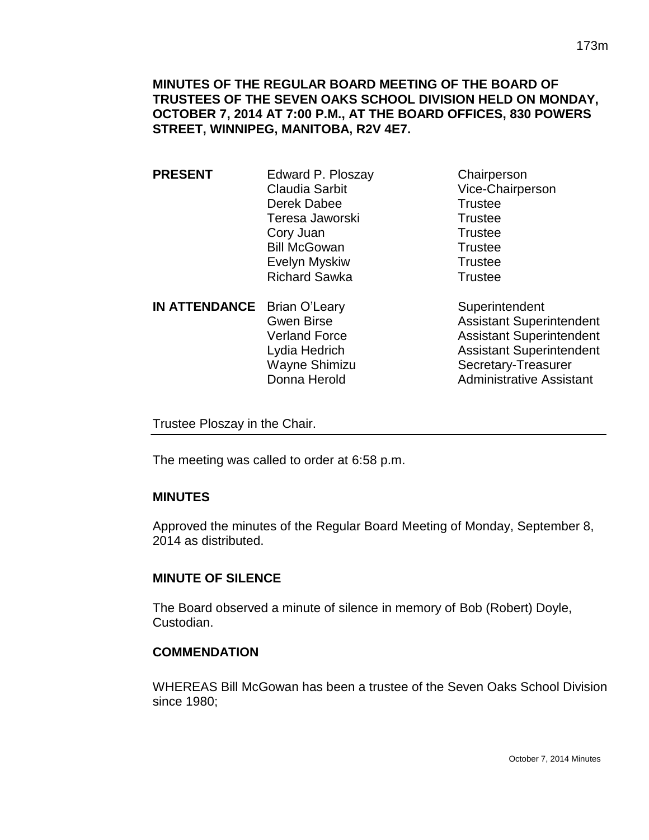**MINUTES OF THE REGULAR BOARD MEETING OF THE BOARD OF TRUSTEES OF THE SEVEN OAKS SCHOOL DIVISION HELD ON MONDAY, OCTOBER 7, 2014 AT 7:00 P.M., AT THE BOARD OFFICES, 830 POWERS STREET, WINNIPEG, MANITOBA, R2V 4E7.**

- **PRESENT** Edward P. Ploszay Chairperson Claudia Sarbit Vice-Chairperson Derek Dabee Trustee Teresa Jaworski **Trustee** Cory Juan Trustee Bill McGowan Trustee Evelyn Myskiw Trustee Richard Sawka Trustee
- **IN ATTENDANCE** Brian O'Leary Superintendent Wayne Shimizu Secretary-Treasurer Donna Herold **Administrative Assistant**

Gwen Birse **Assistant Superintendent** Verland Force Assistant Superintendent Lydia Hedrich Assistant Superintendent

Trustee Ploszay in the Chair.

The meeting was called to order at 6:58 p.m.

## **MINUTES**

Approved the minutes of the Regular Board Meeting of Monday, September 8, 2014 as distributed.

## **MINUTE OF SILENCE**

The Board observed a minute of silence in memory of Bob (Robert) Doyle, Custodian.

## **COMMENDATION**

WHEREAS Bill McGowan has been a trustee of the Seven Oaks School Division since 1980;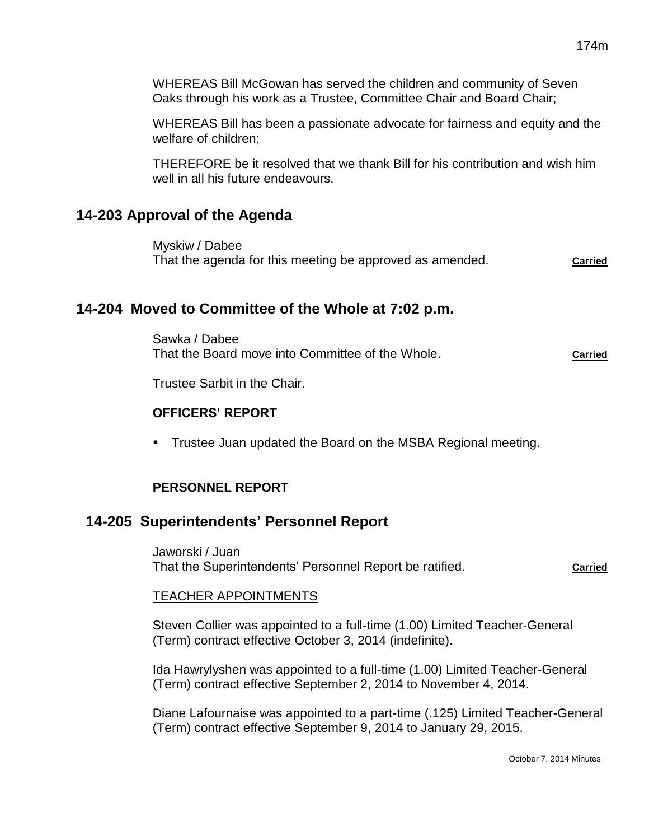WHEREAS Bill McGowan has served the children and community of Seven Oaks through his work as a Trustee, Committee Chair and Board Chair;

WHEREAS Bill has been a passionate advocate for fairness and equity and the welfare of children;

THEREFORE be it resolved that we thank Bill for his contribution and wish him well in all his future endeavours.

# **14-203 Approval of the Agenda**

Myskiw / Dabee That the agenda for this meeting be approved as amended. **Carried**

# **14-204 Moved to Committee of the Whole at 7:02 p.m.**

Sawka / Dabee That the Board move into Committee of the Whole. **Carried**

Trustee Sarbit in the Chair.

# **OFFICERS' REPORT**

**Trustee Juan updated the Board on the MSBA Regional meeting.** 

# **PERSONNEL REPORT**

# **14-205 Superintendents' Personnel Report**

Jaworski / Juan That the Superintendents' Personnel Report be ratified. **Carried**

## TEACHER APPOINTMENTS

Steven Collier was appointed to a full-time (1.00) Limited Teacher-General (Term) contract effective October 3, 2014 (indefinite).

Ida Hawrylyshen was appointed to a full-time (1.00) Limited Teacher-General (Term) contract effective September 2, 2014 to November 4, 2014.

Diane Lafournaise was appointed to a part-time (.125) Limited Teacher-General (Term) contract effective September 9, 2014 to January 29, 2015.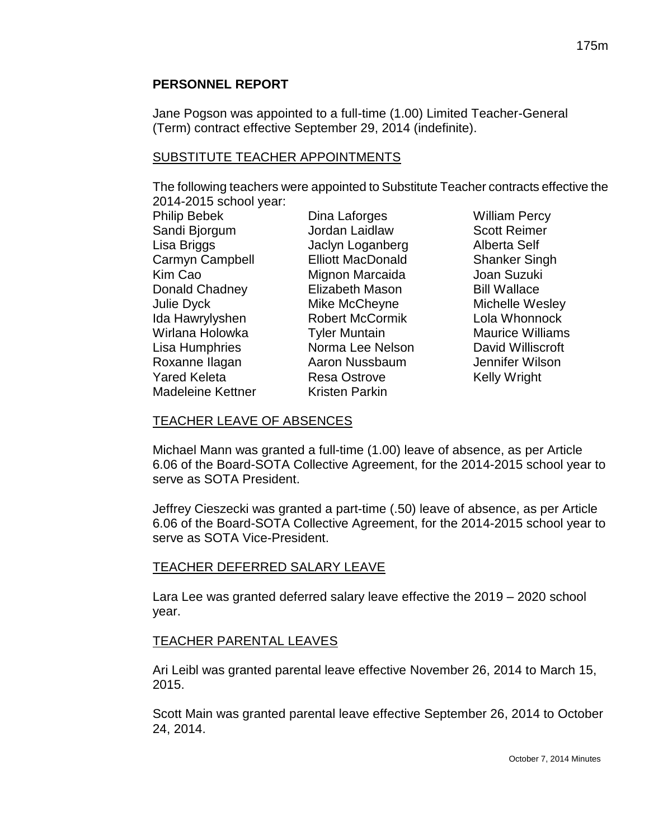#### **PERSONNEL REPORT**

Jane Pogson was appointed to a full-time (1.00) Limited Teacher-General (Term) contract effective September 29, 2014 (indefinite).

#### SUBSTITUTE TEACHER APPOINTMENTS

The following teachers were appointed to Substitute Teacher contracts effective the 2014-2015 school year:

| <b>Philip Bebek</b>      |
|--------------------------|
| Sandi Bjorgum            |
| Lisa Briggs              |
| Carmyn Campbell          |
| Kim Cao                  |
| Donald Chadney           |
| <b>Julie Dyck</b>        |
| Ida Hawrylyshen          |
| Wirlana Holowka          |
| Lisa Humphries           |
| Roxanne Ilagan           |
| <b>Yared Keleta</b>      |
| <b>Madeleine Kettner</b> |

Jordan Laidlaw Scott Reimer Jaclyn Loganberg **Alberta Self** Elliott MacDonald Shanker Singh Mignon Marcaida **Joan Suzuki** Elizabeth Mason Bill Wallace Mike McCheyne **Michelle Wesley** Robert McCormik Lola Whonnock Tyler Muntain Maurice Williams Norma Lee Nelson David Williscroft Aaron Nussbaum Jennifer Wilson Resa Ostrove Kelly Wright Kristen Parkin

**Dina Laforges William Percy** 

#### TEACHER LEAVE OF ABSENCES

Michael Mann was granted a full-time (1.00) leave of absence, as per Article 6.06 of the Board-SOTA Collective Agreement, for the 2014-2015 school year to serve as SOTA President.

Jeffrey Cieszecki was granted a part-time (.50) leave of absence, as per Article 6.06 of the Board-SOTA Collective Agreement, for the 2014-2015 school year to serve as SOTA Vice-President.

## TEACHER DEFERRED SALARY LEAVE

Lara Lee was granted deferred salary leave effective the 2019 – 2020 school year.

## TEACHER PARENTAL LEAVES

Ari Leibl was granted parental leave effective November 26, 2014 to March 15, 2015.

Scott Main was granted parental leave effective September 26, 2014 to October 24, 2014.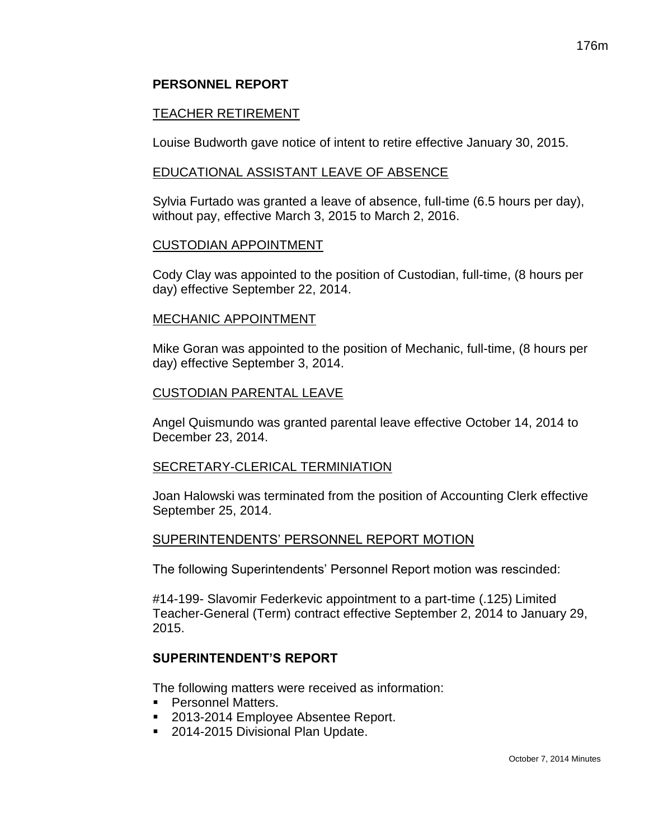# 176m

## **PERSONNEL REPORT**

# TEACHER RETIREMENT

Louise Budworth gave notice of intent to retire effective January 30, 2015.

## EDUCATIONAL ASSISTANT LEAVE OF ABSENCE

Sylvia Furtado was granted a leave of absence, full-time (6.5 hours per day), without pay, effective March 3, 2015 to March 2, 2016.

#### CUSTODIAN APPOINTMENT

Cody Clay was appointed to the position of Custodian, full-time, (8 hours per day) effective September 22, 2014.

## MECHANIC APPOINTMENT

Mike Goran was appointed to the position of Mechanic, full-time, (8 hours per day) effective September 3, 2014.

## CUSTODIAN PARENTAL LEAVE

Angel Quismundo was granted parental leave effective October 14, 2014 to December 23, 2014.

## SECRETARY-CLERICAL TERMINIATION

Joan Halowski was terminated from the position of Accounting Clerk effective September 25, 2014.

## SUPERINTENDENTS' PERSONNEL REPORT MOTION

The following Superintendents' Personnel Report motion was rescinded:

#14-199- Slavomir Federkevic appointment to a part-time (.125) Limited Teacher-General (Term) contract effective September 2, 2014 to January 29, 2015.

# **SUPERINTENDENT'S REPORT**

The following matters were received as information:

- Personnel Matters.
- 2013-2014 Employee Absentee Report.
- 2014-2015 Divisional Plan Update.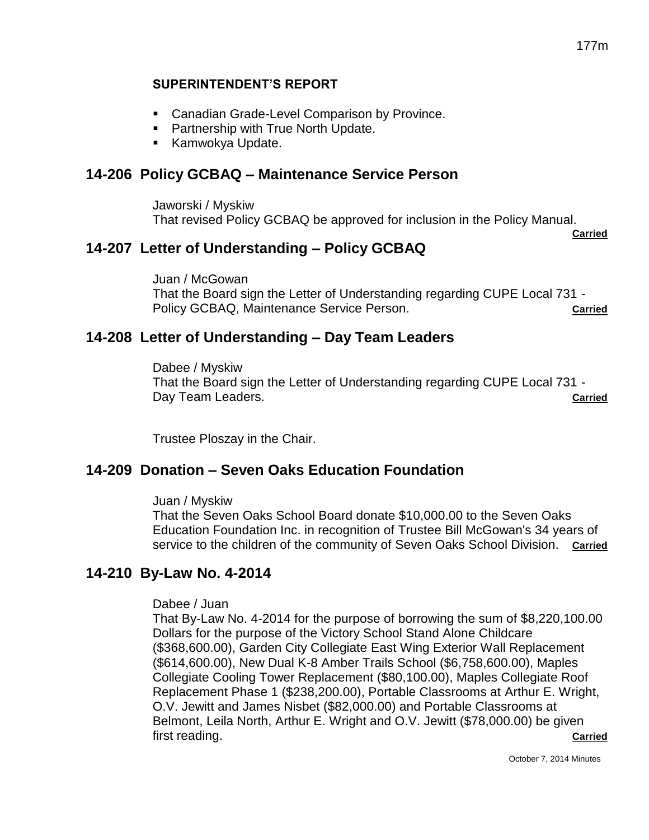## **SUPERINTENDENT'S REPORT**

- Canadian Grade-Level Comparison by Province.
- **Partnership with True North Update.**
- **Kamwokya Update.**

# **14-206 Policy GCBAQ – Maintenance Service Person**

Jaworski / Myskiw That revised Policy GCBAQ be approved for inclusion in the Policy Manual.

**Carried**

# **14-207 Letter of Understanding – Policy GCBAQ**

Juan / McGowan That the Board sign the Letter of Understanding regarding CUPE Local 731 - Policy GCBAQ, Maintenance Service Person. **Carried** Carried

# **14-208 Letter of Understanding – Day Team Leaders**

Dabee / Myskiw That the Board sign the Letter of Understanding regarding CUPE Local 731 - Day Team Leaders. **Carried**

Trustee Ploszay in the Chair.

# **14-209 Donation – Seven Oaks Education Foundation**

Juan / Myskiw

That the Seven Oaks School Board donate \$10,000.00 to the Seven Oaks Education Foundation Inc. in recognition of Trustee Bill McGowan's 34 years of service to the children of the community of Seven Oaks School Division. **Carried**

# **14-210 By-Law No. 4-2014**

Dabee / Juan

That By-Law No. 4-2014 for the purpose of borrowing the sum of \$8,220,100.00 Dollars for the purpose of the Victory School Stand Alone Childcare (\$368,600.00), Garden City Collegiate East Wing Exterior Wall Replacement (\$614,600.00), New Dual K-8 Amber Trails School (\$6,758,600.00), Maples Collegiate Cooling Tower Replacement (\$80,100.00), Maples Collegiate Roof Replacement Phase 1 (\$238,200.00), Portable Classrooms at Arthur E. Wright, O.V. Jewitt and James Nisbet (\$82,000.00) and Portable Classrooms at Belmont, Leila North, Arthur E. Wright and O.V. Jewitt (\$78,000.00) be given first reading. **Carried**

October 7, 2014 Minutes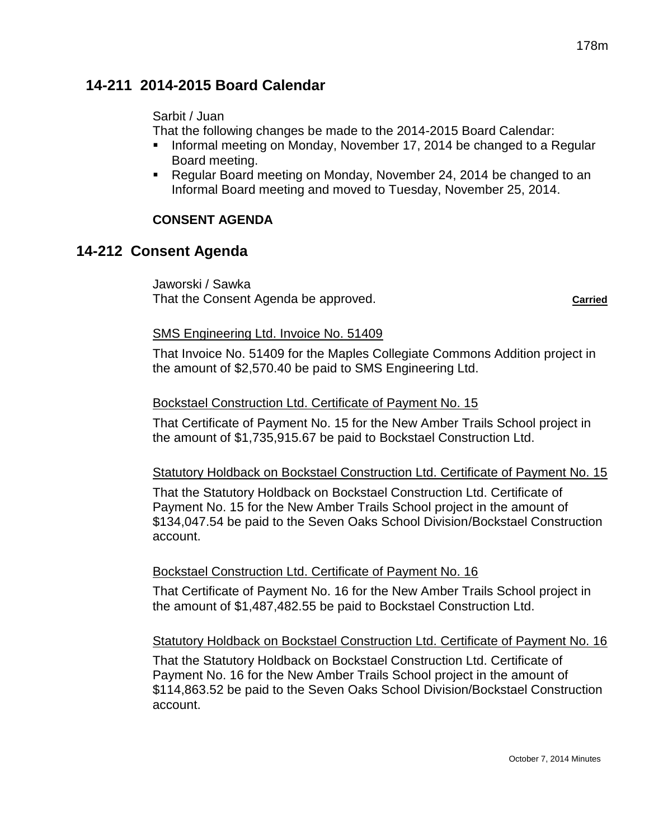# **14-211 2014-2015 Board Calendar**

# Sarbit / Juan

That the following changes be made to the 2014-2015 Board Calendar:

- Informal meeting on Monday, November 17, 2014 be changed to a Regular Board meeting.
- Regular Board meeting on Monday, November 24, 2014 be changed to an Informal Board meeting and moved to Tuesday, November 25, 2014.

# **CONSENT AGENDA**

# **14-212 Consent Agenda**

Jaworski / Sawka That the Consent Agenda be approved. **Carried Carried Carried** 

#### SMS Engineering Ltd. Invoice No. 51409

That Invoice No. 51409 for the Maples Collegiate Commons Addition project in the amount of \$2,570.40 be paid to SMS Engineering Ltd.

## Bockstael Construction Ltd. Certificate of Payment No. 15

That Certificate of Payment No. 15 for the New Amber Trails School project in the amount of \$1,735,915.67 be paid to Bockstael Construction Ltd.

## Statutory Holdback on Bockstael Construction Ltd. Certificate of Payment No. 15

That the Statutory Holdback on Bockstael Construction Ltd. Certificate of Payment No. 15 for the New Amber Trails School project in the amount of \$134,047.54 be paid to the Seven Oaks School Division/Bockstael Construction account.

## Bockstael Construction Ltd. Certificate of Payment No. 16

That Certificate of Payment No. 16 for the New Amber Trails School project in the amount of \$1,487,482.55 be paid to Bockstael Construction Ltd.

## Statutory Holdback on Bockstael Construction Ltd. Certificate of Payment No. 16

That the Statutory Holdback on Bockstael Construction Ltd. Certificate of Payment No. 16 for the New Amber Trails School project in the amount of \$114,863.52 be paid to the Seven Oaks School Division/Bockstael Construction account.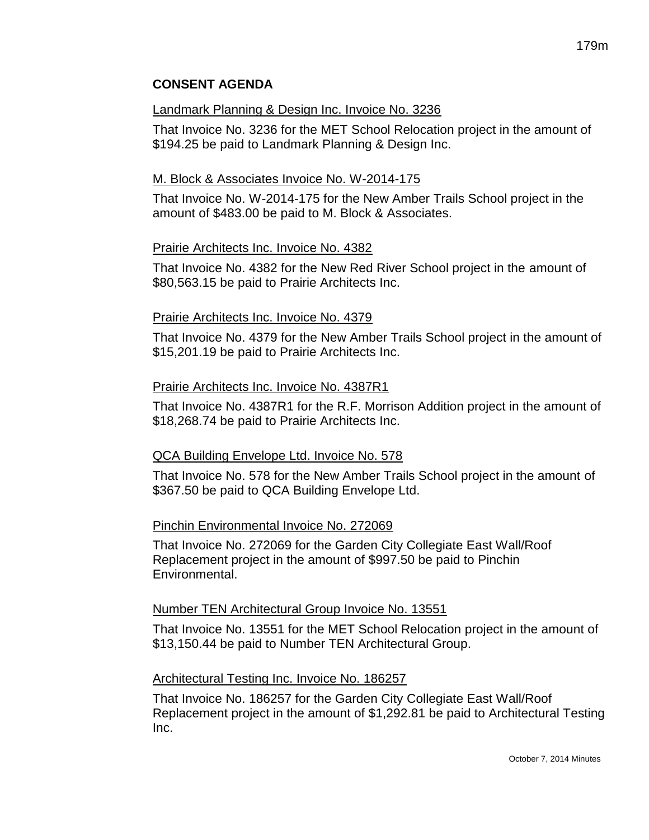# **CONSENT AGENDA**

#### Landmark Planning & Design Inc. Invoice No. 3236

That Invoice No. 3236 for the MET School Relocation project in the amount of \$194.25 be paid to Landmark Planning & Design Inc.

#### M. Block & Associates Invoice No. W-2014-175

That Invoice No. W-2014-175 for the New Amber Trails School project in the amount of \$483.00 be paid to M. Block & Associates.

#### Prairie Architects Inc. Invoice No. 4382

That Invoice No. 4382 for the New Red River School project in the amount of \$80,563.15 be paid to Prairie Architects Inc.

#### Prairie Architects Inc. Invoice No. 4379

That Invoice No. 4379 for the New Amber Trails School project in the amount of \$15,201.19 be paid to Prairie Architects Inc.

#### Prairie Architects Inc. Invoice No. 4387R1

That Invoice No. 4387R1 for the R.F. Morrison Addition project in the amount of \$18,268.74 be paid to Prairie Architects Inc.

## QCA Building Envelope Ltd. Invoice No. 578

That Invoice No. 578 for the New Amber Trails School project in the amount of \$367.50 be paid to QCA Building Envelope Ltd.

#### Pinchin Environmental Invoice No. 272069

That Invoice No. 272069 for the Garden City Collegiate East Wall/Roof Replacement project in the amount of \$997.50 be paid to Pinchin Environmental.

#### Number TEN Architectural Group Invoice No. 13551

That Invoice No. 13551 for the MET School Relocation project in the amount of \$13,150.44 be paid to Number TEN Architectural Group.

#### Architectural Testing Inc. Invoice No. 186257

That Invoice No. 186257 for the Garden City Collegiate East Wall/Roof Replacement project in the amount of \$1,292.81 be paid to Architectural Testing Inc.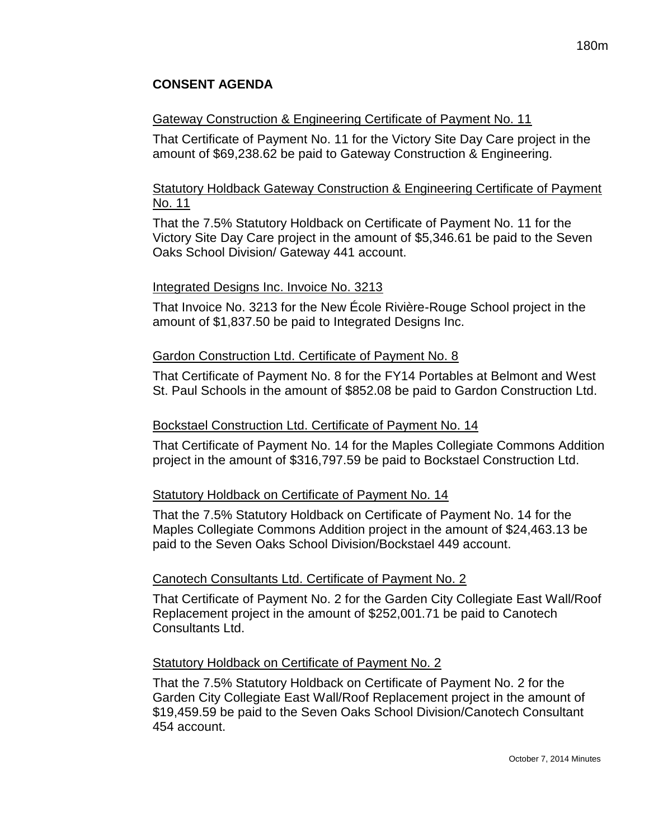# **CONSENT AGENDA**

#### Gateway Construction & Engineering Certificate of Payment No. 11

That Certificate of Payment No. 11 for the Victory Site Day Care project in the amount of \$69,238.62 be paid to Gateway Construction & Engineering.

# Statutory Holdback Gateway Construction & Engineering Certificate of Payment No. 11

That the 7.5% Statutory Holdback on Certificate of Payment No. 11 for the Victory Site Day Care project in the amount of \$5,346.61 be paid to the Seven Oaks School Division/ Gateway 441 account.

#### Integrated Designs Inc. Invoice No. 3213

That Invoice No. 3213 for the New École Rivière-Rouge School project in the amount of \$1,837.50 be paid to Integrated Designs Inc.

#### Gardon Construction Ltd. Certificate of Payment No. 8

That Certificate of Payment No. 8 for the FY14 Portables at Belmont and West St. Paul Schools in the amount of \$852.08 be paid to Gardon Construction Ltd.

#### Bockstael Construction Ltd. Certificate of Payment No. 14

That Certificate of Payment No. 14 for the Maples Collegiate Commons Addition project in the amount of \$316,797.59 be paid to Bockstael Construction Ltd.

## Statutory Holdback on Certificate of Payment No. 14

That the 7.5% Statutory Holdback on Certificate of Payment No. 14 for the Maples Collegiate Commons Addition project in the amount of \$24,463.13 be paid to the Seven Oaks School Division/Bockstael 449 account.

#### Canotech Consultants Ltd. Certificate of Payment No. 2

That Certificate of Payment No. 2 for the Garden City Collegiate East Wall/Roof Replacement project in the amount of \$252,001.71 be paid to Canotech Consultants Ltd.

#### Statutory Holdback on Certificate of Payment No. 2

That the 7.5% Statutory Holdback on Certificate of Payment No. 2 for the Garden City Collegiate East Wall/Roof Replacement project in the amount of \$19,459.59 be paid to the Seven Oaks School Division/Canotech Consultant 454 account.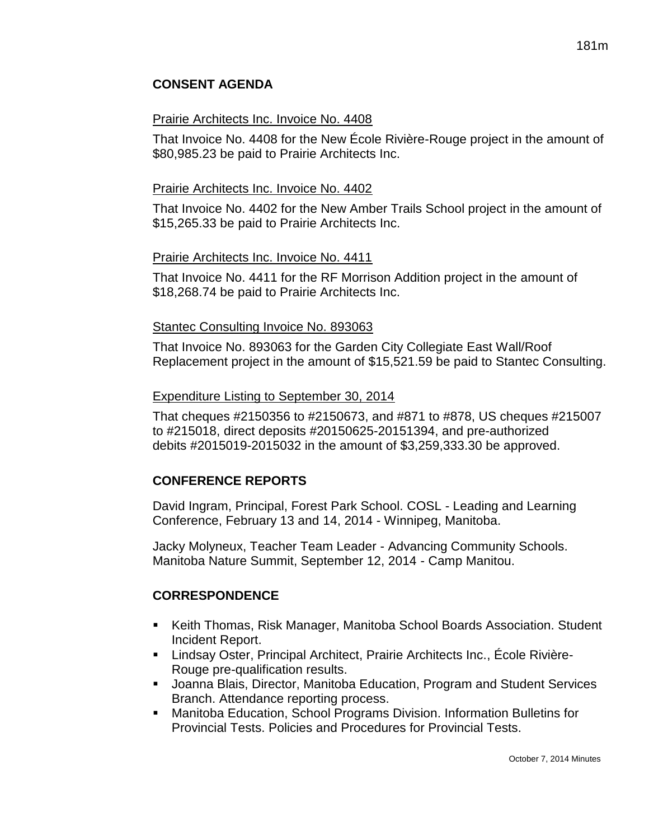# **CONSENT AGENDA**

#### Prairie Architects Inc. Invoice No. 4408

That Invoice No. 4408 for the New École Rivière-Rouge project in the amount of \$80,985.23 be paid to Prairie Architects Inc.

#### Prairie Architects Inc. Invoice No. 4402

That Invoice No. 4402 for the New Amber Trails School project in the amount of \$15,265.33 be paid to Prairie Architects Inc.

#### Prairie Architects Inc. Invoice No. 4411

That Invoice No. 4411 for the RF Morrison Addition project in the amount of \$18,268.74 be paid to Prairie Architects Inc.

#### Stantec Consulting Invoice No. 893063

That Invoice No. 893063 for the Garden City Collegiate East Wall/Roof Replacement project in the amount of \$15,521.59 be paid to Stantec Consulting.

#### Expenditure Listing to September 30, 2014

That cheques #2150356 to #2150673, and #871 to #878, US cheques #215007 to #215018, direct deposits #20150625-20151394, and pre-authorized debits #2015019-2015032 in the amount of \$3,259,333.30 be approved.

## **CONFERENCE REPORTS**

David Ingram, Principal, Forest Park School. COSL - Leading and Learning Conference, February 13 and 14, 2014 - Winnipeg, Manitoba.

Jacky Molyneux, Teacher Team Leader - Advancing Community Schools. Manitoba Nature Summit, September 12, 2014 - Camp Manitou.

## **CORRESPONDENCE**

- Keith Thomas, Risk Manager, Manitoba School Boards Association. Student Incident Report.
- Lindsay Oster, Principal Architect, Prairie Architects Inc., École Rivière-Rouge pre-qualification results.
- Joanna Blais, Director, Manitoba Education, Program and Student Services Branch. Attendance reporting process.
- Manitoba Education, School Programs Division. Information Bulletins for Provincial Tests. Policies and Procedures for Provincial Tests.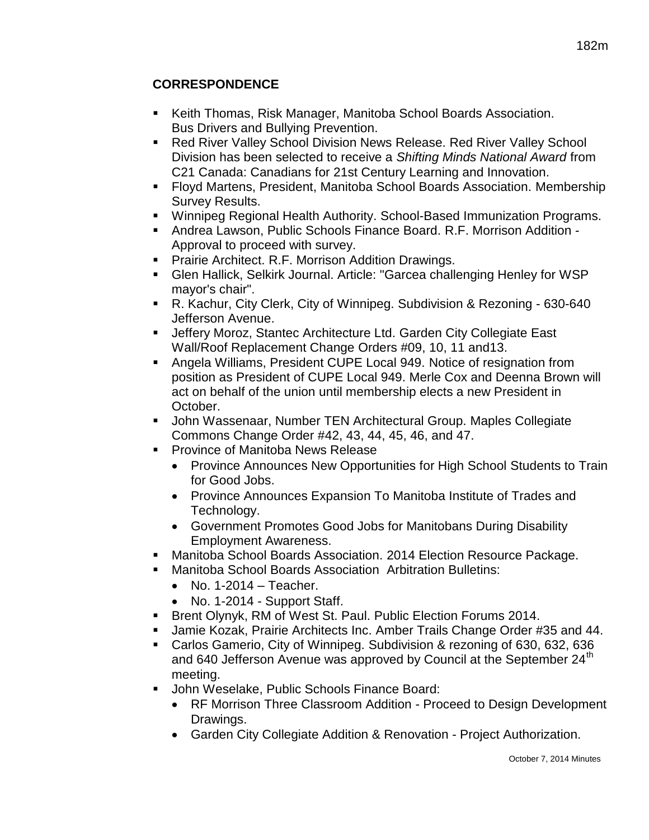- Keith Thomas, Risk Manager, Manitoba School Boards Association. Bus Drivers and Bullying Prevention.
- Red River Valley School Division News Release. Red River Valley School Division has been selected to receive a *Shifting Minds National Award* from C21 Canada: Canadians for 21st Century Learning and Innovation.
- Floyd Martens, President, Manitoba School Boards Association. Membership Survey Results.
- Winnipeg Regional Health Authority. School-Based Immunization Programs.
- Andrea Lawson, Public Schools Finance Board. R.F. Morrison Addition Approval to proceed with survey.
- **Prairie Architect. R.F. Morrison Addition Drawings.**
- Glen Hallick, Selkirk Journal. Article: "Garcea challenging Henley for WSP mayor's chair".
- R. Kachur, City Clerk, City of Winnipeg. Subdivision & Rezoning 630-640 Jefferson Avenue.
- Jeffery Moroz, Stantec Architecture Ltd. Garden City Collegiate East Wall/Roof Replacement Change Orders #09, 10, 11 and13.
- Angela Williams, President CUPE Local 949. Notice of resignation from position as President of CUPE Local 949. Merle Cox and Deenna Brown will act on behalf of the union until membership elects a new President in October.
- John Wassenaar, Number TEN Architectural Group. Maples Collegiate Commons Change Order #42, 43, 44, 45, 46, and 47.
- **Province of Manitoba News Release** 
	- Province Announces New Opportunities for High School Students to Train for Good Jobs.
	- Province Announces Expansion To Manitoba Institute of Trades and Technology.
	- Government Promotes Good Jobs for Manitobans During Disability Employment Awareness.
- Manitoba School Boards Association. 2014 Election Resource Package.
- Manitoba School Boards Association Arbitration Bulletins:
	- $\bullet$  No. 1-2014 Teacher.
	- No. 1-2014 Support Staff.
- **Brent Olynyk, RM of West St. Paul. Public Election Forums 2014.**
- Jamie Kozak, Prairie Architects Inc. Amber Trails Change Order #35 and 44.
- Carlos Gamerio, City of Winnipeg. Subdivision & rezoning of 630, 632, 636 and 640 Jefferson Avenue was approved by Council at the September  $24<sup>th</sup>$ meeting.
- John Weselake, Public Schools Finance Board:
	- RF Morrison Three Classroom Addition Proceed to Design Development Drawings.
	- Garden City Collegiate Addition & Renovation Project Authorization.